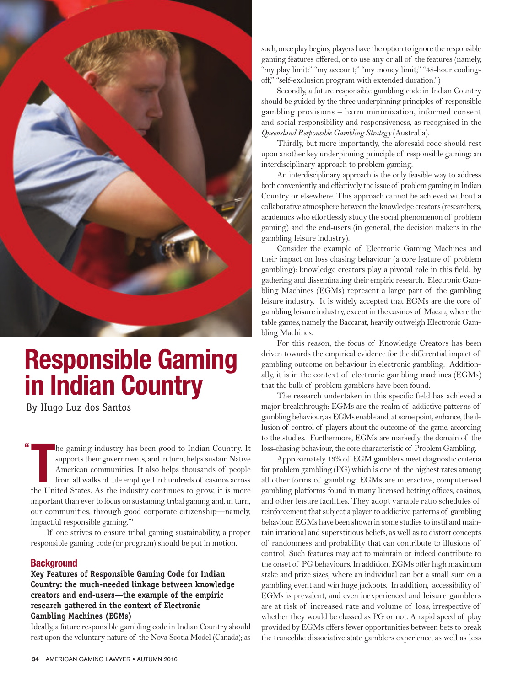

# **Responsible Gaming in Indian Country**

By Hugo Luz dos Santos

**"** The gaming industry has been good to Indian Country. It supports their governments, and in turn, helps sustain Native American communities. It also helps thousands of people from all walks of life employed in hundreds of c he gaming industry has been good to Indian Country. It supports their governments, and in turn, helps sustain Native American communities. It also helps thousands of people from all walks of life employed in hundreds of casinos across important than ever to focus on sustaining tribal gaming and, in turn, our communities, through good corporate citizenship—namely, impactful responsible gaming."1

If one strives to ensure tribal gaming sustainability, a proper responsible gaming code (or program) should be put in motion.

# **Background**

## **Key Features of Responsible Gaming Code for Indian Country: the much-needed linkage between knowledge creators and end-users—the example of the empiric research gathered in the context of Electronic Gambling Machines (EGMs)**

Ideally, a future responsible gambling code in Indian Country should rest upon the voluntary nature of the Nova Scotia Model (Canada); as such, once play begins, players have the option to ignore the responsible gaming features offered, or to use any or all of the features (namely, "my play limit:" "my account;" "my money limit;" "48-hour coolingoff;" "self-exclusion program with extended duration.")

secondly, a future responsible gambling code in Indian Country should be guided by the three underpinning principles of responsible gambling provisions – harm minimization, informed consent and social responsibility and responsiveness*,* as recognised in the *Queensland Responsible Gambling Strategy* (Australia).

thirdly, but more importantly, the aforesaid code should rest upon another key underpinning principle of responsible gaming: an interdisciplinary approach to problem gaming.

An interdisciplinary approach is the only feasible way to address both conveniently and effectively the issue of problem gaming in Indian Country or elsewhere. This approach cannot be achieved without a collaborative atmosphere between the knowledge creators (researchers, academics who effortlessly study the social phenomenon of problem gaming) and the end-users (in general, the decision makers in the gambling leisure industry).

Consider the example of Electronic Gaming Machines and their impact on loss chasing behaviour (a core feature of problem gambling): knowledge creators play a pivotal role in this field, by gathering and disseminating their empiric research. Electronic Gambling Machines (EGMs) represent a large part of the gambling leisure industry. It is widely accepted that EGMs are the core of gambling leisure industry, except in the casinos of Macau, where the table games, namely the Baccarat, heavily outweigh Electronic Gambling Machines.

For this reason, the focus of Knowledge Creators has been driven towards the empirical evidence for the differential impact of gambling outcome on behaviour in electronic gambling. Additionally, it is in the context of electronic gambling machines (EGMs) that the bulk of problem gamblers have been found.

The research undertaken in this specific field has achieved a major breakthrough: EGMs are the realm of addictive patterns of gambling behaviour, as EGMs enable and, at some point, enhance, the illusion of control of players about the outcome of the game, according to the studies. Furthermore, eGMs are markedly the domain of the loss-chasing behaviour, the core characteristic of Problem Gambling.

Approximately 13% of EGM gamblers meet diagnostic criteria for problem gambling (PG) which is one of the highest rates among all other forms of gambling. EGMs are interactive, computerised gambling platforms found in many licensed betting offices, casinos, and other leisure facilities. They adopt variable ratio schedules of reinforcement that subject a player to addictive patterns of gambling behaviour. EGMs have been shown in some studies to instil and maintain irrational and superstitious beliefs, as well as to distort concepts of randomness and probability that can contribute to illusions of control. such features may act to maintain or indeed contribute to the onset of PG behaviours. In addition, EGMs offer high maximum stake and prize sizes, where an individual can bet a small sum on a gambling event and win huge jackpots. In addition, accessibility of EGMs is prevalent, and even inexperienced and leisure gamblers are at risk of increased rate and volume of loss, irrespective of whether they would be classed as PG or not. A rapid speed of play provided by EGMs offers fewer opportunities between bets to break the trancelike dissociative state gamblers experience, as well as less